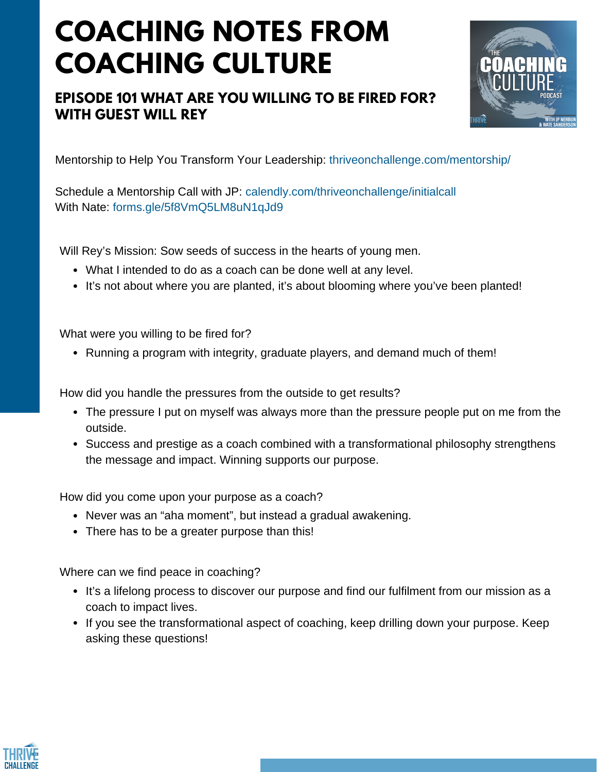## **COACHING NOTES FROM COACHING CULTURE**

## **EPISODE 101 WHAT ARE YOU WILLING TO BE FIRED FOR? WITH GUEST WILL REY**



Mentorship to Help You Transform Your Leadership: thriveonchallenge.com/mentorship/

Schedule a Mentorship Call with JP: calendly.com/thriveonchallenge/initialcall With Nate: forms.gle/5f8VmQ5LM8uN1qJd9

Will Rey's Mission: Sow seeds of success in the hearts of young men.

- What I intended to do as a coach can be done well at any level.
- It's not about where you are planted, it's about blooming where you've been planted!

What were you willing to be fired for?

• Running a program with integrity, graduate players, and demand much of them!

How did you handle the pressures from the outside to get results?

- The pressure I put on myself was always more than the pressure people put on me from the outside.
- Success and prestige as a coach combined with a transformational philosophy strengthens the message and impact. Winning supports our purpose.

How did you come upon your purpose as a coach?

- Never was an "aha moment", but instead a gradual awakening.
- There has to be a greater purpose than this!

Where can we find peace in coaching?

- It's a lifelong process to discover our purpose and find our fulfilment from our mission as a coach to impact lives.
- If you see the transformational aspect of coaching, keep drilling down your purpose. Keep asking these questions!